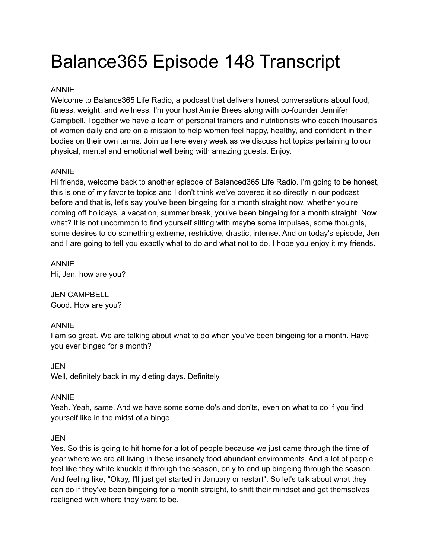# Balance365 Episode 148 Transcript

## ANNIE

Welcome to Balance365 Life Radio, a podcast that delivers honest conversations about food, fitness, weight, and wellness. I'm your host Annie Brees along with co-founder Jennifer Campbell. Together we have a team of personal trainers and nutritionists who coach thousands of women daily and are on a mission to help women feel happy, healthy, and confident in their bodies on their own terms. Join us here every week as we discuss hot topics pertaining to our physical, mental and emotional well being with amazing guests. Enjoy.

## ANNIE

Hi friends, welcome back to another episode of Balanced365 Life Radio. I'm going to be honest, this is one of my favorite topics and I don't think we've covered it so directly in our podcast before and that is, let's say you've been bingeing for a month straight now, whether you're coming off holidays, a vacation, summer break, you've been bingeing for a month straight. Now what? It is not uncommon to find yourself sitting with maybe some impulses, some thoughts, some desires to do something extreme, restrictive, drastic, intense. And on today's episode, Jen and I are going to tell you exactly what to do and what not to do. I hope you enjoy it my friends.

ANNIE Hi, Jen, how are you?

JEN CAMPBELL Good. How are you?

## ANNIE

I am so great. We are talking about what to do when you've been bingeing for a month. Have you ever binged for a month?

JEN Well, definitely back in my dieting days. Definitely.

## ANNIE

Yeah. Yeah, same. And we have some some do's and don'ts, even on what to do if you find yourself like in the midst of a binge.

## **JEN**

Yes. So this is going to hit home for a lot of people because we just came through the time of year where we are all living in these insanely food abundant environments. And a lot of people feel like they white knuckle it through the season, only to end up bingeing through the season. And feeling like, "Okay, I'll just get started in January or restart". So let's talk about what they can do if they've been bingeing for a month straight, to shift their mindset and get themselves realigned with where they want to be.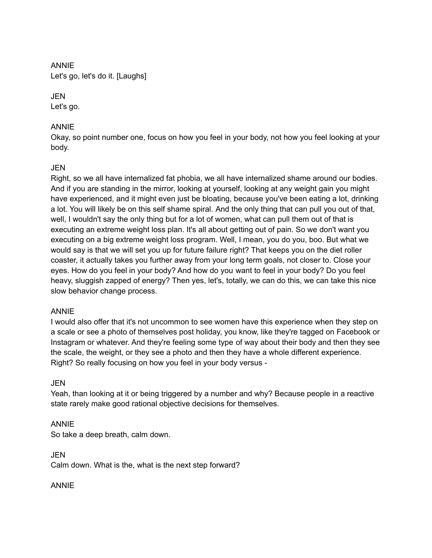ANNIE Let's go, let's do it. [Laughs]

## **JEN**

Let's go.

## ANNIE

Okay, so point number one, focus on how you feel in your body, not how you feel looking at your body.

## JEN

Right, so we all have internalized fat phobia, we all have internalized shame around our bodies. And if you are standing in the mirror, looking at yourself, looking at any weight gain you might have experienced, and it might even just be bloating, because you've been eating a lot, drinking a lot. You will likely be on this self shame spiral. And the only thing that can pull you out of that, well, I wouldn't say the only thing but for a lot of women, what can pull them out of that is executing an extreme weight loss plan. It's all about getting out of pain. So we don't want you executing on a big extreme weight loss program. Well, I mean, you do you, boo. But what we would say is that we will set you up for future failure right? That keeps you on the diet roller coaster, it actually takes you further away from your long term goals, not closer to. Close your eyes. How do you feel in your body? And how do you want to feel in your body? Do you feel heavy, sluggish zapped of energy? Then yes, let's, totally, we can do this, we can take this nice slow behavior change process.

## ANNIE

I would also offer that it's not uncommon to see women have this experience when they step on a scale or see a photo of themselves post holiday, you know, like they're tagged on Facebook or Instagram or whatever. And they're feeling some type of way about their body and then they see the scale, the weight, or they see a photo and then they have a whole different experience. Right? So really focusing on how you feel in your body versus -

## JEN

Yeah, than looking at it or being triggered by a number and why? Because people in a reactive state rarely make good rational objective decisions for themselves.

## ANNIE

So take a deep breath, calm down.

JEN Calm down. What is the, what is the next step forward?

ANNIE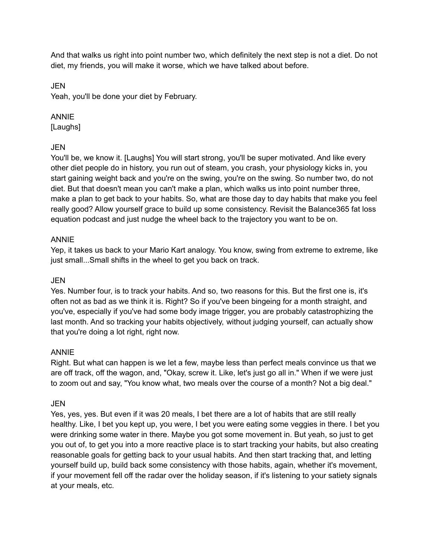And that walks us right into point number two, which definitely the next step is not a diet. Do not diet, my friends, you will make it worse, which we have talked about before.

JEN

Yeah, you'll be done your diet by February.

## ANNIE

[Laughs]

## **JEN**

You'll be, we know it. [Laughs] You will start strong, you'll be super motivated. And like every other diet people do in history, you run out of steam, you crash, your physiology kicks in, you start gaining weight back and you're on the swing, you're on the swing. So number two, do not diet. But that doesn't mean you can't make a plan, which walks us into point number three, make a plan to get back to your habits. So, what are those day to day habits that make you feel really good? Allow yourself grace to build up some consistency. Revisit the Balance365 fat loss equation podcast and just nudge the wheel back to the trajectory you want to be on.

## ANNIE

Yep, it takes us back to your Mario Kart analogy. You know, swing from extreme to extreme, like just small...Small shifts in the wheel to get you back on track.

## JEN

Yes. Number four, is to track your habits. And so, two reasons for this. But the first one is, it's often not as bad as we think it is. Right? So if you've been bingeing for a month straight, and you've, especially if you've had some body image trigger, you are probably catastrophizing the last month. And so tracking your habits objectively, without judging yourself, can actually show that you're doing a lot right, right now.

## ANNIE

Right. But what can happen is we let a few, maybe less than perfect meals convince us that we are off track, off the wagon, and, "Okay, screw it. Like, let's just go all in." When if we were just to zoom out and say, "You know what, two meals over the course of a month? Not a big deal."

## JEN

Yes, yes, yes. But even if it was 20 meals, I bet there are a lot of habits that are still really healthy. Like, I bet you kept up, you were, I bet you were eating some veggies in there. I bet you were drinking some water in there. Maybe you got some movement in. But yeah, so just to get you out of, to get you into a more reactive place is to start tracking your habits, but also creating reasonable goals for getting back to your usual habits. And then start tracking that, and letting yourself build up, build back some consistency with those habits, again, whether it's movement, if your movement fell off the radar over the holiday season, if it's listening to your satiety signals at your meals, etc.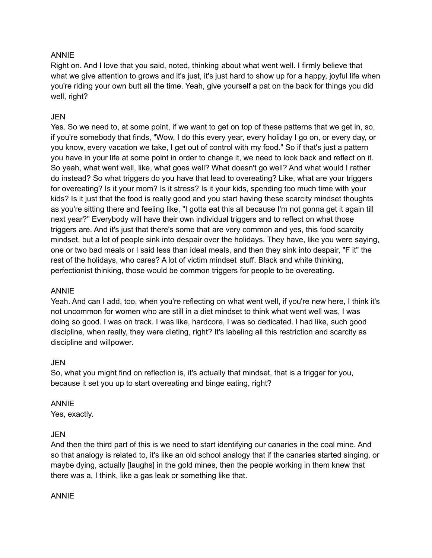#### ANNIE

Right on. And I love that you said, noted, thinking about what went well. I firmly believe that what we give attention to grows and it's just, it's just hard to show up for a happy, joyful life when you're riding your own butt all the time. Yeah, give yourself a pat on the back for things you did well, right?

## JEN

Yes. So we need to, at some point, if we want to get on top of these patterns that we get in, so, if you're somebody that finds, "Wow, I do this every year, every holiday I go on, or every day, or you know, every vacation we take, I get out of control with my food." So if that's just a pattern you have in your life at some point in order to change it, we need to look back and reflect on it. So yeah, what went well, like, what goes well? What doesn't go well? And what would I rather do instead? So what triggers do you have that lead to overeating? Like, what are your triggers for overeating? Is it your mom? Is it stress? Is it your kids, spending too much time with your kids? Is it just that the food is really good and you start having these scarcity mindset thoughts as you're sitting there and feeling like, "I gotta eat this all because I'm not gonna get it again till next year?" Everybody will have their own individual triggers and to reflect on what those triggers are. And it's just that there's some that are very common and yes, this food scarcity mindset, but a lot of people sink into despair over the holidays. They have, like you were saying, one or two bad meals or I said less than ideal meals, and then they sink into despair, "F it" the rest of the holidays, who cares? A lot of victim mindset stuff. Black and white thinking, perfectionist thinking, those would be common triggers for people to be overeating.

#### ANNIE

Yeah. And can I add, too, when you're reflecting on what went well, if you're new here, I think it's not uncommon for women who are still in a diet mindset to think what went well was, I was doing so good. I was on track. I was like, hardcore, I was so dedicated. I had like, such good discipline, when really, they were dieting, right? It's labeling all this restriction and scarcity as discipline and willpower.

#### JEN

So, what you might find on reflection is, it's actually that mindset, that is a trigger for you, because it set you up to start overeating and binge eating, right?

## ANNIE

Yes, exactly.

## **JEN**

And then the third part of this is we need to start identifying our canaries in the coal mine. And so that analogy is related to, it's like an old school analogy that if the canaries started singing, or maybe dying, actually [laughs] in the gold mines, then the people working in them knew that there was a, I think, like a gas leak or something like that.

#### ANNIE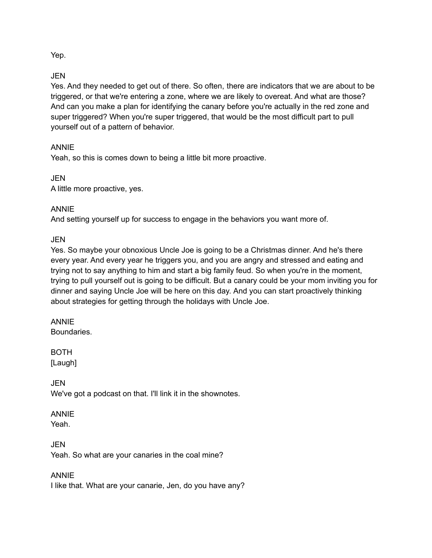Yep.

## JEN

Yes. And they needed to get out of there. So often, there are indicators that we are about to be triggered, or that we're entering a zone, where we are likely to overeat. And what are those? And can you make a plan for identifying the canary before you're actually in the red zone and super triggered? When you're super triggered, that would be the most difficult part to pull yourself out of a pattern of behavior.

## ANNIE

Yeah, so this is comes down to being a little bit more proactive.

**JEN** A little more proactive, yes.

## ANNIE

And setting yourself up for success to engage in the behaviors you want more of.

JEN

Yes. So maybe your obnoxious Uncle Joe is going to be a Christmas dinner. And he's there every year. And every year he triggers you, and you are angry and stressed and eating and trying not to say anything to him and start a big family feud. So when you're in the moment, trying to pull yourself out is going to be difficult. But a canary could be your mom inviting you for dinner and saying Uncle Joe will be here on this day. And you can start proactively thinking about strategies for getting through the holidays with Uncle Joe.

## ANNIE

**Boundaries** 

BOTH [Laugh]

**JEN** We've got a podcast on that. I'll link it in the shownotes.

## ANNIE

Yeah.

JEN Yeah. So what are your canaries in the coal mine?

ANNIE

I like that. What are your canarie, Jen, do you have any?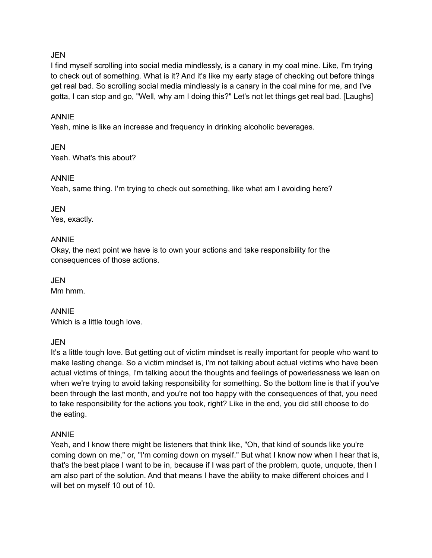## **JEN**

I find myself scrolling into social media mindlessly, is a canary in my coal mine. Like, I'm trying to check out of something. What is it? And it's like my early stage of checking out before things get real bad. So scrolling social media mindlessly is a canary in the coal mine for me, and I've gotta, I can stop and go, "Well, why am I doing this?" Let's not let things get real bad. [Laughs]

#### ANNIE

Yeah, mine is like an increase and frequency in drinking alcoholic beverages.

JEN Yeah. What's this about?

#### ANNIE

Yeah, same thing. I'm trying to check out something, like what am I avoiding here?

JEN Yes, exactly.

#### ANNIE

Okay, the next point we have is to own your actions and take responsibility for the consequences of those actions.

JEN Mm hmm.

ANNIE Which is a little tough love.

#### JEN

It's a little tough love. But getting out of victim mindset is really important for people who want to make lasting change. So a victim mindset is, I'm not talking about actual victims who have been actual victims of things, I'm talking about the thoughts and feelings of powerlessness we lean on when we're trying to avoid taking responsibility for something. So the bottom line is that if you've been through the last month, and you're not too happy with the consequences of that, you need to take responsibility for the actions you took, right? Like in the end, you did still choose to do the eating.

#### ANNIE

Yeah, and I know there might be listeners that think like, "Oh, that kind of sounds like you're coming down on me," or, "I'm coming down on myself." But what I know now when I hear that is, that's the best place I want to be in, because if I was part of the problem, quote, unquote, then I am also part of the solution. And that means I have the ability to make different choices and I will bet on myself 10 out of 10.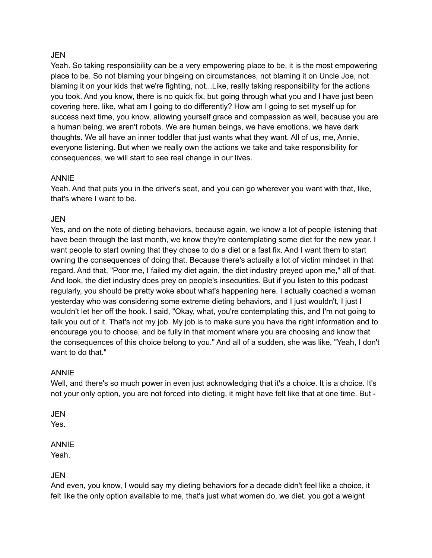#### JEN

Yeah. So taking responsibility can be a very empowering place to be, it is the most empowering place to be. So not blaming your bingeing on circumstances, not blaming it on Uncle Joe, not blaming it on your kids that we're fighting, not...Like, really taking responsibility for the actions you took. And you know, there is no quick fix, but going through what you and I have just been covering here, like, what am I going to do differently? How am I going to set myself up for success next time, you know, allowing yourself grace and compassion as well, because you are a human being, we aren't robots. We are human beings, we have emotions, we have dark thoughts. We all have an inner toddler that just wants what they want. All of us, me, Annie, everyone listening. But when we really own the actions we take and take responsibility for consequences, we will start to see real change in our lives.

#### ANNIE

Yeah. And that puts you in the driver's seat, and you can go wherever you want with that, like, that's where I want to be.

#### JEN

Yes, and on the note of dieting behaviors, because again, we know a lot of people listening that have been through the last month, we know they're contemplating some diet for the new year. I want people to start owning that they chose to do a diet or a fast fix. And I want them to start owning the consequences of doing that. Because there's actually a lot of victim mindset in that regard. And that, "Poor me, I failed my diet again, the diet industry preyed upon me," all of that. And look, the diet industry does prey on people's insecurities. But if you listen to this podcast regularly, you should be pretty woke about what's happening here. I actually coached a woman yesterday who was considering some extreme dieting behaviors, and I just wouldn't, I just I wouldn't let her off the hook. I said, "Okay, what, you're contemplating this, and I'm not going to talk you out of it. That's not my job. My job is to make sure you have the right information and to encourage you to choose, and be fully in that moment where you are choosing and know that the consequences of this choice belong to you." And all of a sudden, she was like, "Yeah, I don't want to do that."

## ANNIE

Well, and there's so much power in even just acknowledging that it's a choice. It is a choice. It's not your only option, you are not forced into dieting, it might have felt like that at one time. But -

JEN

Yes.

## ANNIE

Yeah.

## JEN

And even, you know, I would say my dieting behaviors for a decade didn't feel like a choice, it felt like the only option available to me, that's just what women do, we diet, you got a weight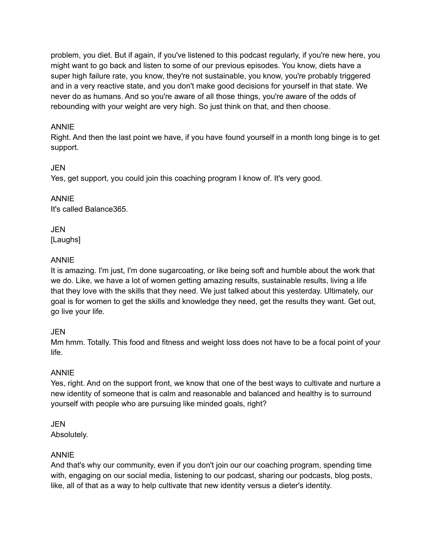problem, you diet. But if again, if you've listened to this podcast regularly, if you're new here, you might want to go back and listen to some of our previous episodes. You know, diets have a super high failure rate, you know, they're not sustainable, you know, you're probably triggered and in a very reactive state, and you don't make good decisions for yourself in that state. We never do as humans. And so you're aware of all those things, you're aware of the odds of rebounding with your weight are very high. So just think on that, and then choose.

## ANNIE

Right. And then the last point we have, if you have found yourself in a month long binge is to get support.

## JEN

Yes, get support, you could join this coaching program I know of. It's very good.

ANNIE It's called Balance365.

**JEN** [Laughs]

## ANNIE

It is amazing. I'm just, I'm done sugarcoating, or like being soft and humble about the work that we do. Like, we have a lot of women getting amazing results, sustainable results, living a life that they love with the skills that they need. We just talked about this yesterday. Ultimately, our goal is for women to get the skills and knowledge they need, get the results they want. Get out, go live your life.

## JEN

Mm hmm. Totally. This food and fitness and weight loss does not have to be a focal point of your life.

## ANNIE

Yes, right. And on the support front, we know that one of the best ways to cultivate and nurture a new identity of someone that is calm and reasonable and balanced and healthy is to surround yourself with people who are pursuing like minded goals, right?

## JEN

Absolutely.

## ANNIE

And that's why our community, even if you don't join our our coaching program, spending time with, engaging on our social media, listening to our podcast, sharing our podcasts, blog posts, like, all of that as a way to help cultivate that new identity versus a dieter's identity.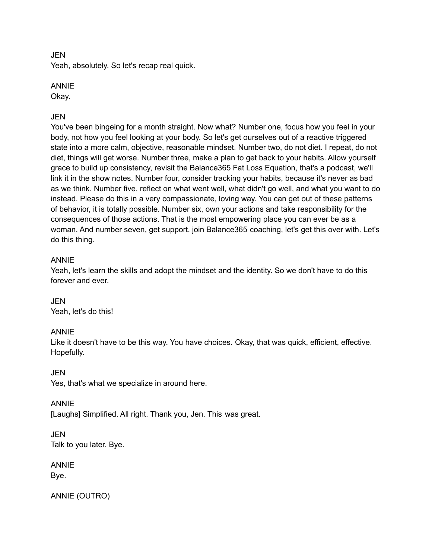#### JEN

Yeah, absolutely. So let's recap real quick.

#### ANNIE

Okay.

## JEN

You've been bingeing for a month straight. Now what? Number one, focus how you feel in your body, not how you feel looking at your body. So let's get ourselves out of a reactive triggered state into a more calm, objective, reasonable mindset. Number two, do not diet. I repeat, do not diet, things will get worse. Number three, make a plan to get back to your habits. Allow yourself grace to build up consistency, revisit the Balance365 Fat Loss Equation, that's a podcast, we'll link it in the show notes. Number four, consider tracking your habits, because it's never as bad as we think. Number five, reflect on what went well, what didn't go well, and what you want to do instead. Please do this in a very compassionate, loving way. You can get out of these patterns of behavior, it is totally possible. Number six, own your actions and take responsibility for the consequences of those actions. That is the most empowering place you can ever be as a woman. And number seven, get support, join Balance365 coaching, let's get this over with. Let's do this thing.

## ANNIE

Yeah, let's learn the skills and adopt the mindset and the identity. So we don't have to do this forever and ever.

JEN Yeah, let's do this!

## ANNIE

Like it doesn't have to be this way. You have choices. Okay, that was quick, efficient, effective. Hopefully.

JEN

Yes, that's what we specialize in around here.

ANNIE [Laughs] Simplified. All right. Thank you, Jen. This was great.

**JEN** Talk to you later. Bye.

ANNIE Bye.

ANNIE (OUTRO)